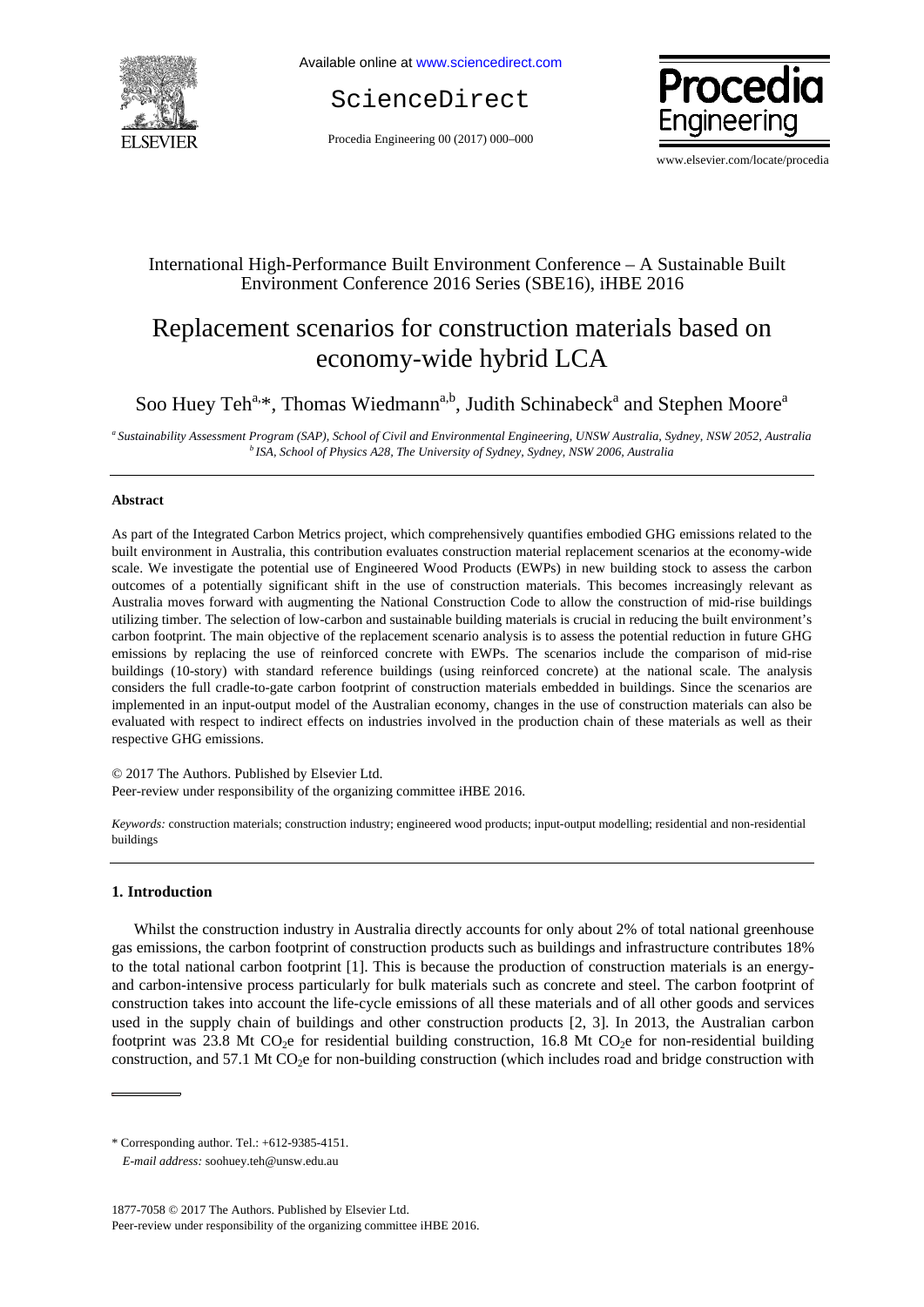

Available online at www.sciencedirect.com

ScienceDirect

Procedia Engineering 00 (2017) 000–000



www.elsevier.com/locate/procedia

# International High-Performance Built Environment Conference – A Sustainable Built Environment Conference 2016 Series (SBE16), iHBE 2016

# Replacement scenarios for construction materials based on economy-wide hybrid LCA

Soo Huey Teh<sup>a,\*</sup>, Thomas Wiedmann<sup>a,b</sup>, Judith Schinabeck<sup>a</sup> and Stephen Moore<sup>a</sup>

*a Sustainability Assessment Program (SAP), School of Civil and Environmental Engineering, UNSW Australia, Sydney, NSW 2052, Australia b ISA, School of Physics A28, The University of Sydney, Sydney, NSW 2006, Australia*

# **Abstract**

As part of the Integrated Carbon Metrics project, which comprehensively quantifies embodied GHG emissions related to the built environment in Australia, this contribution evaluates construction material replacement scenarios at the economy-wide scale. We investigate the potential use of Engineered Wood Products (EWPs) in new building stock to assess the carbon outcomes of a potentially significant shift in the use of construction materials. This becomes increasingly relevant as Australia moves forward with augmenting the National Construction Code to allow the construction of mid-rise buildings utilizing timber. The selection of low-carbon and sustainable building materials is crucial in reducing the built environment's carbon footprint. The main objective of the replacement scenario analysis is to assess the potential reduction in future GHG emissions by replacing the use of reinforced concrete with EWPs. The scenarios include the comparison of mid-rise buildings (10-story) with standard reference buildings (using reinforced concrete) at the national scale. The analysis considers the full cradle-to-gate carbon footprint of construction materials embedded in buildings. Since the scenarios are implemented in an input-output model of the Australian economy, changes in the use of construction materials can also be evaluated with respect to indirect effects on industries involved in the production chain of these materials as well as their respective GHG emissions.

© 2017 The Authors. Published by Elsevier Ltd. Peer-review under responsibility of the organizing committee iHBE 2016.

*Keywords:* construction materials; construction industry; engineered wood products; input-output modelling; residential and non-residential buildings

#### **1. Introduction**

 Whilst the construction industry in Australia directly accounts for only about 2% of total national greenhouse gas emissions, the carbon footprint of construction products such as buildings and infrastructure contributes 18% to the total national carbon footprint [1]. This is because the production of construction materials is an energyand carbon-intensive process particularly for bulk materials such as concrete and steel. The carbon footprint of construction takes into account the life-cycle emissions of all these materials and of all other goods and services used in the supply chain of buildings and other construction products [2, 3]. In 2013, the Australian carbon footprint was 23.8 Mt CO<sub>2</sub>e for residential building construction, 16.8 Mt CO<sub>2</sub>e for non-residential building construction, and 57.1 Mt CO<sub>2</sub>e for non-building construction (which includes road and bridge construction with

 $*$  Corresponding author. Tel.:  $+612-9385-4151$ .

*E-mail address:* soohuey.teh@unsw.edu.au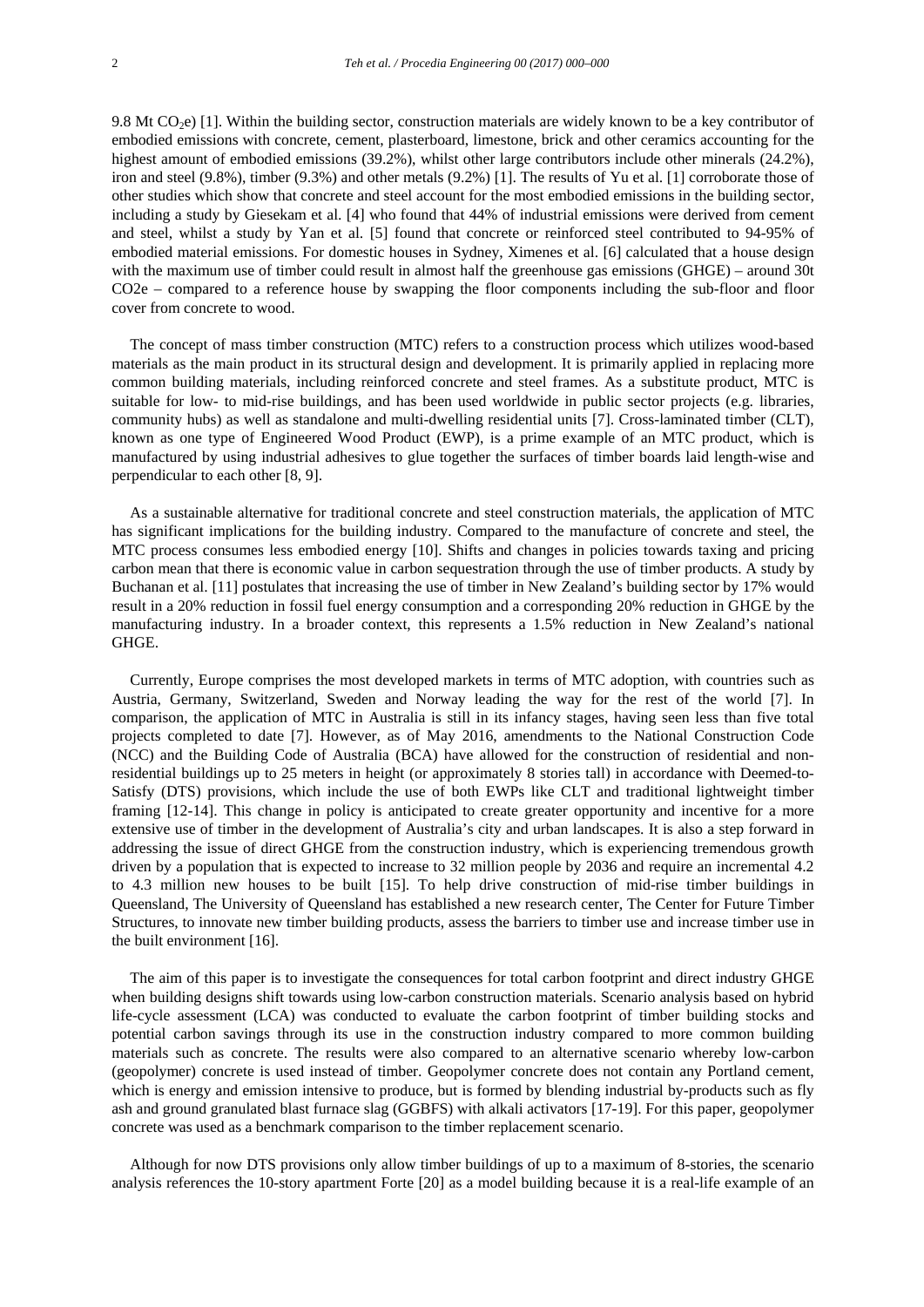9.8 Mt  $CO<sub>2</sub>e$ ) [1]. Within the building sector, construction materials are widely known to be a key contributor of embodied emissions with concrete, cement, plasterboard, limestone, brick and other ceramics accounting for the highest amount of embodied emissions (39.2%), whilst other large contributors include other minerals (24.2%), iron and steel (9.8%), timber (9.3%) and other metals (9.2%) [1]. The results of Yu et al. [1] corroborate those of other studies which show that concrete and steel account for the most embodied emissions in the building sector, including a study by Giesekam et al. [4] who found that 44% of industrial emissions were derived from cement and steel, whilst a study by Yan et al. [5] found that concrete or reinforced steel contributed to 94-95% of embodied material emissions. For domestic houses in Sydney, Ximenes et al. [6] calculated that a house design with the maximum use of timber could result in almost half the greenhouse gas emissions (GHGE) – around 30t CO2e – compared to a reference house by swapping the floor components including the sub-floor and floor cover from concrete to wood.

The concept of mass timber construction (MTC) refers to a construction process which utilizes wood-based materials as the main product in its structural design and development. It is primarily applied in replacing more common building materials, including reinforced concrete and steel frames. As a substitute product, MTC is suitable for low- to mid-rise buildings, and has been used worldwide in public sector projects (e.g. libraries, community hubs) as well as standalone and multi-dwelling residential units [7]. Cross-laminated timber (CLT), known as one type of Engineered Wood Product (EWP), is a prime example of an MTC product, which is manufactured by using industrial adhesives to glue together the surfaces of timber boards laid length-wise and perpendicular to each other [8, 9].

As a sustainable alternative for traditional concrete and steel construction materials, the application of MTC has significant implications for the building industry. Compared to the manufacture of concrete and steel, the MTC process consumes less embodied energy [10]. Shifts and changes in policies towards taxing and pricing carbon mean that there is economic value in carbon sequestration through the use of timber products. A study by Buchanan et al. [11] postulates that increasing the use of timber in New Zealand's building sector by 17% would result in a 20% reduction in fossil fuel energy consumption and a corresponding 20% reduction in GHGE by the manufacturing industry. In a broader context, this represents a 1.5% reduction in New Zealand's national GHGE.

Currently, Europe comprises the most developed markets in terms of MTC adoption, with countries such as Austria, Germany, Switzerland, Sweden and Norway leading the way for the rest of the world [7]. In comparison, the application of MTC in Australia is still in its infancy stages, having seen less than five total projects completed to date [7]. However, as of May 2016, amendments to the National Construction Code (NCC) and the Building Code of Australia (BCA) have allowed for the construction of residential and nonresidential buildings up to 25 meters in height (or approximately 8 stories tall) in accordance with Deemed-to-Satisfy (DTS) provisions, which include the use of both EWPs like CLT and traditional lightweight timber framing [12-14]. This change in policy is anticipated to create greater opportunity and incentive for a more extensive use of timber in the development of Australia's city and urban landscapes. It is also a step forward in addressing the issue of direct GHGE from the construction industry, which is experiencing tremendous growth driven by a population that is expected to increase to 32 million people by 2036 and require an incremental 4.2 to 4.3 million new houses to be built [15]. To help drive construction of mid-rise timber buildings in Queensland, The University of Queensland has established a new research center, The Center for Future Timber Structures, to innovate new timber building products, assess the barriers to timber use and increase timber use in the built environment [16].

The aim of this paper is to investigate the consequences for total carbon footprint and direct industry GHGE when building designs shift towards using low-carbon construction materials. Scenario analysis based on hybrid life-cycle assessment (LCA) was conducted to evaluate the carbon footprint of timber building stocks and potential carbon savings through its use in the construction industry compared to more common building materials such as concrete. The results were also compared to an alternative scenario whereby low-carbon (geopolymer) concrete is used instead of timber. Geopolymer concrete does not contain any Portland cement, which is energy and emission intensive to produce, but is formed by blending industrial by-products such as fly ash and ground granulated blast furnace slag (GGBFS) with alkali activators [17-19]. For this paper, geopolymer concrete was used as a benchmark comparison to the timber replacement scenario.

Although for now DTS provisions only allow timber buildings of up to a maximum of 8-stories, the scenario analysis references the 10-story apartment Forte [20] as a model building because it is a real-life example of an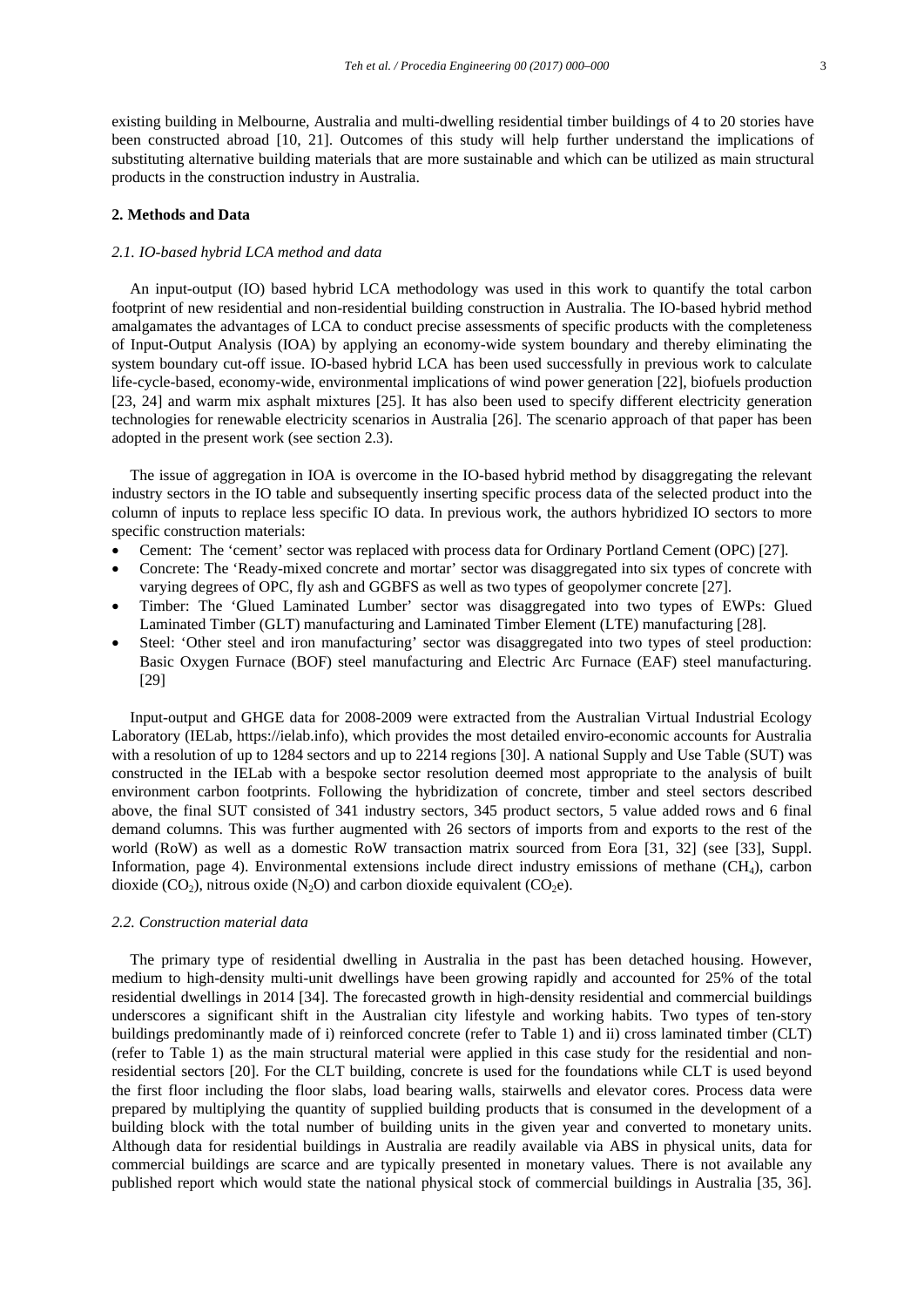existing building in Melbourne, Australia and multi-dwelling residential timber buildings of 4 to 20 stories have been constructed abroad [10, 21]. Outcomes of this study will help further understand the implications of substituting alternative building materials that are more sustainable and which can be utilized as main structural products in the construction industry in Australia.

# **2. Methods and Data**

#### *2.1. IO-based hybrid LCA method and data*

An input-output (IO) based hybrid LCA methodology was used in this work to quantify the total carbon footprint of new residential and non-residential building construction in Australia. The IO-based hybrid method amalgamates the advantages of LCA to conduct precise assessments of specific products with the completeness of Input-Output Analysis (IOA) by applying an economy-wide system boundary and thereby eliminating the system boundary cut-off issue. IO-based hybrid LCA has been used successfully in previous work to calculate life-cycle-based, economy-wide, environmental implications of wind power generation [22], biofuels production [23, 24] and warm mix asphalt mixtures [25]. It has also been used to specify different electricity generation technologies for renewable electricity scenarios in Australia [26]. The scenario approach of that paper has been adopted in the present work (see section 2.3).

The issue of aggregation in IOA is overcome in the IO-based hybrid method by disaggregating the relevant industry sectors in the IO table and subsequently inserting specific process data of the selected product into the column of inputs to replace less specific IO data. In previous work, the authors hybridized IO sectors to more specific construction materials:

- Cement: The 'cement' sector was replaced with process data for Ordinary Portland Cement (OPC) [27].
- Concrete: The 'Ready-mixed concrete and mortar' sector was disaggregated into six types of concrete with varying degrees of OPC, fly ash and GGBFS as well as two types of geopolymer concrete [27].
- Timber: The 'Glued Laminated Lumber' sector was disaggregated into two types of EWPs: Glued Laminated Timber (GLT) manufacturing and Laminated Timber Element (LTE) manufacturing [28].
- Steel: 'Other steel and iron manufacturing' sector was disaggregated into two types of steel production: Basic Oxygen Furnace (BOF) steel manufacturing and Electric Arc Furnace (EAF) steel manufacturing. [29]

Input-output and GHGE data for 2008-2009 were extracted from the Australian Virtual Industrial Ecology Laboratory (IELab, https://ielab.info), which provides the most detailed enviro-economic accounts for Australia with a resolution of up to 1284 sectors and up to 2214 regions [30]. A national Supply and Use Table (SUT) was constructed in the IELab with a bespoke sector resolution deemed most appropriate to the analysis of built environment carbon footprints. Following the hybridization of concrete, timber and steel sectors described above, the final SUT consisted of 341 industry sectors, 345 product sectors, 5 value added rows and 6 final demand columns. This was further augmented with 26 sectors of imports from and exports to the rest of the world (RoW) as well as a domestic RoW transaction matrix sourced from Eora [31, 32] (see [33], Suppl. Information, page 4). Environmental extensions include direct industry emissions of methane (CH4), carbon dioxide (CO<sub>2</sub>), nitrous oxide (N<sub>2</sub>O) and carbon dioxide equivalent (CO<sub>2</sub>e).

## *2.2. Construction material data*

The primary type of residential dwelling in Australia in the past has been detached housing. However, medium to high-density multi-unit dwellings have been growing rapidly and accounted for 25% of the total residential dwellings in 2014 [34]. The forecasted growth in high-density residential and commercial buildings underscores a significant shift in the Australian city lifestyle and working habits. Two types of ten-story buildings predominantly made of i) reinforced concrete (refer to Table 1) and ii) cross laminated timber (CLT) (refer to Table 1) as the main structural material were applied in this case study for the residential and nonresidential sectors [20]. For the CLT building, concrete is used for the foundations while CLT is used beyond the first floor including the floor slabs, load bearing walls, stairwells and elevator cores. Process data were prepared by multiplying the quantity of supplied building products that is consumed in the development of a building block with the total number of building units in the given year and converted to monetary units. Although data for residential buildings in Australia are readily available via ABS in physical units, data for commercial buildings are scarce and are typically presented in monetary values. There is not available any published report which would state the national physical stock of commercial buildings in Australia [35, 36].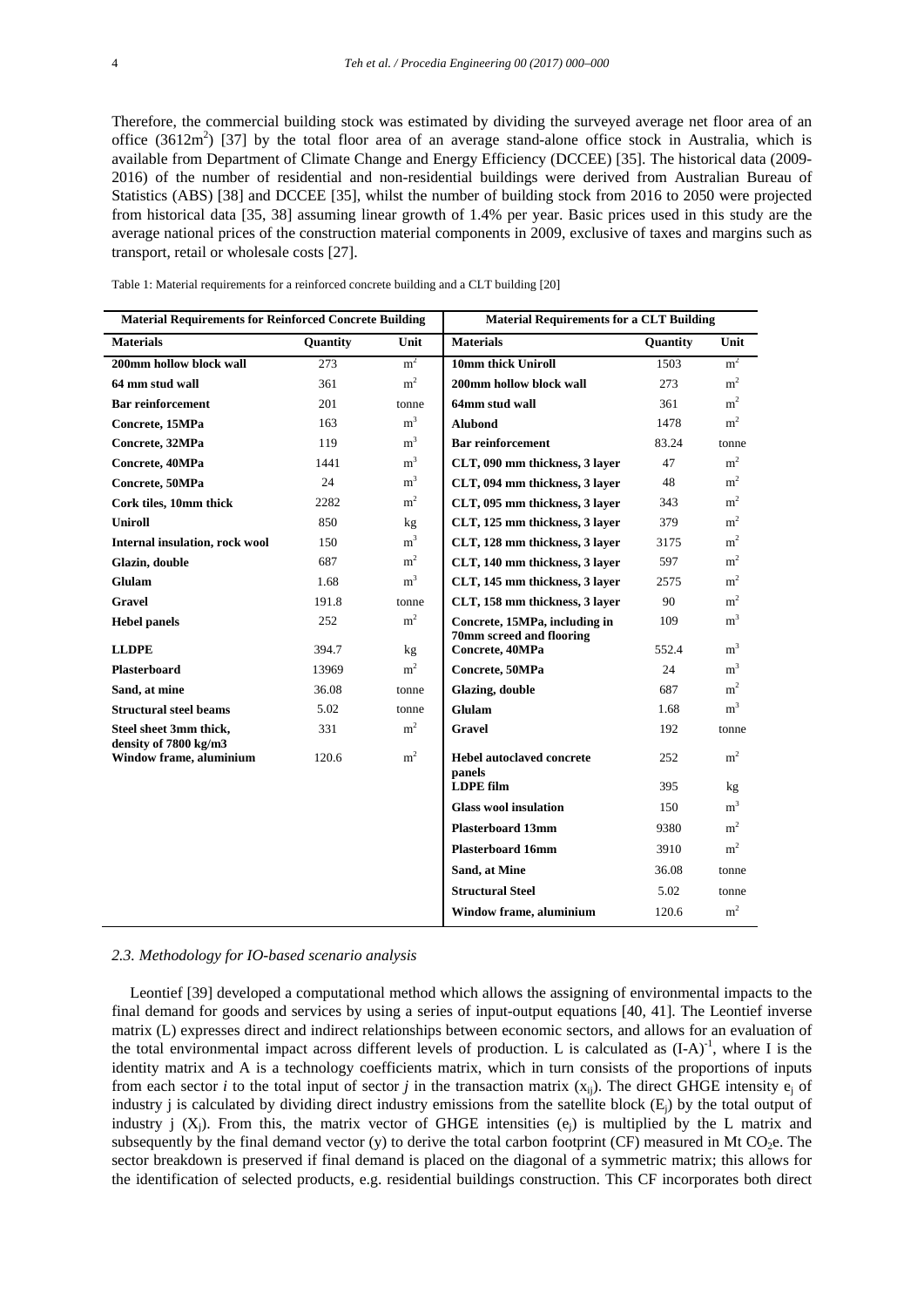Therefore, the commercial building stock was estimated by dividing the surveyed average net floor area of an office  $(3612m^2)$  [37] by the total floor area of an average stand-alone office stock in Australia, which is available from Department of Climate Change and Energy Efficiency (DCCEE) [35]. The historical data (2009- 2016) of the number of residential and non-residential buildings were derived from Australian Bureau of Statistics (ABS) [38] and DCCEE [35], whilst the number of building stock from 2016 to 2050 were projected from historical data [35, 38] assuming linear growth of 1.4% per year. Basic prices used in this study are the average national prices of the construction material components in 2009, exclusive of taxes and margins such as transport, retail or wholesale costs [27].

Table 1: Material requirements for a reinforced concrete building and a CLT building [20]

| <b>Material Requirements for Reinforced Concrete Building</b> |                 |                | <b>Material Requirements for a CLT Building</b>           |                 |                |
|---------------------------------------------------------------|-----------------|----------------|-----------------------------------------------------------|-----------------|----------------|
| <b>Materials</b>                                              | <b>Ouantity</b> | Unit           | <b>Materials</b>                                          | <b>Ouantity</b> | Unit           |
| 200mm hollow block wall                                       | 273             | m <sup>2</sup> | <b>10mm thick Uniroll</b>                                 | 1503            | m <sup>2</sup> |
| 64 mm stud wall                                               | 361             | m <sup>2</sup> | 200mm hollow block wall                                   | 273             | m <sup>2</sup> |
| <b>Bar reinforcement</b>                                      | 201             | tonne          | 64mm stud wall                                            | 361             | m <sup>2</sup> |
| Concrete, 15MPa                                               | 163             | m <sup>3</sup> | <b>Alubond</b>                                            | 1478            | m <sup>2</sup> |
| Concrete, 32MPa                                               | 119             | m <sup>3</sup> | <b>Bar reinforcement</b>                                  | 83.24           | tonne          |
| Concrete, 40MPa                                               | 1441            | m <sup>3</sup> | CLT, 090 mm thickness, 3 layer                            | 47              | m <sup>2</sup> |
| Concrete, 50MPa                                               | 24              | m <sup>3</sup> | CLT, 094 mm thickness, 3 layer                            | 48              | m <sup>2</sup> |
| Cork tiles, 10mm thick                                        | 2282            | m <sup>2</sup> | CLT, 095 mm thickness, 3 layer                            | 343             | m <sup>2</sup> |
| Uniroll                                                       | 850             | kg             | CLT, 125 mm thickness, 3 layer                            | 379             | m <sup>2</sup> |
| <b>Internal insulation, rock wool</b>                         | 150             | m <sup>3</sup> | CLT, 128 mm thickness, 3 layer                            | 3175            | m <sup>2</sup> |
| Glazin, double                                                | 687             | m <sup>2</sup> | CLT, 140 mm thickness, 3 layer                            | 597             | m <sup>2</sup> |
| Glulam                                                        | 1.68            | m <sup>3</sup> | CLT, 145 mm thickness, 3 layer                            | 2575            | m <sup>2</sup> |
| <b>Gravel</b>                                                 | 191.8           | tonne          | CLT, 158 mm thickness, 3 layer                            | 90              | m <sup>2</sup> |
| <b>Hebel panels</b>                                           | 252             | m <sup>2</sup> | Concrete, 15MPa, including in<br>70mm screed and flooring | 109             | m <sup>3</sup> |
| <b>LLDPE</b>                                                  | 394.7           | kg             | Concrete, 40MPa                                           | 552.4           | m <sup>3</sup> |
| <b>Plasterboard</b>                                           | 13969           | m <sup>2</sup> | Concrete, 50MPa                                           | 24              | m <sup>3</sup> |
| Sand, at mine                                                 | 36.08           | tonne          | Glazing, double                                           | 687             | m <sup>2</sup> |
| <b>Structural steel beams</b>                                 | 5.02            | tonne          | Glulam                                                    | 1.68            | m <sup>3</sup> |
| Steel sheet 3mm thick,                                        | 331             | m <sup>2</sup> | Gravel                                                    | 192             | tonne          |
| density of 7800 kg/m3<br>Window frame, aluminium              | 120.6           | m <sup>2</sup> | <b>Hebel autoclaved concrete</b><br>panels                | 252             | m <sup>2</sup> |
|                                                               |                 |                | <b>LDPE</b> film                                          | 395             | kg             |
|                                                               |                 |                | <b>Glass wool insulation</b>                              | 150             | m <sup>3</sup> |
|                                                               |                 |                | <b>Plasterboard 13mm</b>                                  | 9380            | m <sup>2</sup> |
|                                                               |                 |                | <b>Plasterboard 16mm</b>                                  | 3910            | m <sup>2</sup> |
|                                                               |                 |                | Sand, at Mine                                             | 36.08           | tonne          |
|                                                               |                 |                | <b>Structural Steel</b>                                   | 5.02            | tonne          |
|                                                               |                 |                | Window frame, aluminium                                   | 120.6           | m <sup>2</sup> |

# *2.3. Methodology for IO-based scenario analysis*

Leontief [39] developed a computational method which allows the assigning of environmental impacts to the final demand for goods and services by using a series of input-output equations [40, 41]. The Leontief inverse matrix (L) expresses direct and indirect relationships between economic sectors, and allows for an evaluation of the total environmental impact across different levels of production. L is calculated as  $(I-A)^{-1}$ , where I is the identity matrix and A is a technology coefficients matrix, which in turn consists of the proportions of inputs from each sector *i* to the total input of sector *j* in the transaction matrix  $(x_{ii})$ . The direct GHGE intensity  $e_i$  of industry j is calculated by dividing direct industry emissions from the satellite block  $(E_i)$  by the total output of industry j  $(X_i)$ . From this, the matrix vector of GHGE intensities  $(e_i)$  is multiplied by the L matrix and subsequently by the final demand vector (y) to derive the total carbon footprint (CF) measured in Mt CO<sub>2</sub>e. The sector breakdown is preserved if final demand is placed on the diagonal of a symmetric matrix; this allows for the identification of selected products, e.g. residential buildings construction. This CF incorporates both direct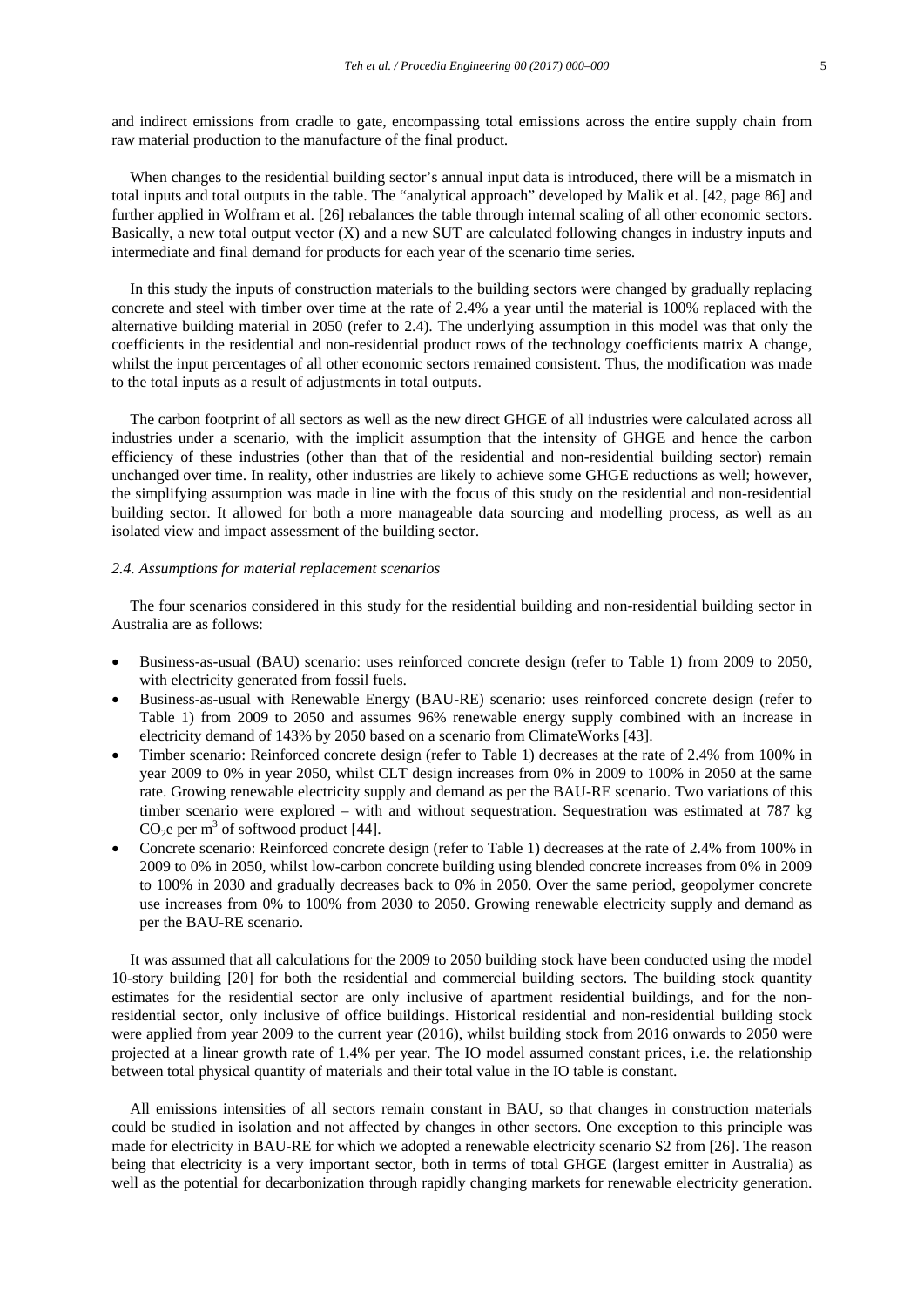and indirect emissions from cradle to gate, encompassing total emissions across the entire supply chain from raw material production to the manufacture of the final product.

When changes to the residential building sector's annual input data is introduced, there will be a mismatch in total inputs and total outputs in the table. The "analytical approach" developed by Malik et al. [42, page 86] and further applied in Wolfram et al. [26] rebalances the table through internal scaling of all other economic sectors. Basically, a new total output vector (X) and a new SUT are calculated following changes in industry inputs and intermediate and final demand for products for each year of the scenario time series.

In this study the inputs of construction materials to the building sectors were changed by gradually replacing concrete and steel with timber over time at the rate of 2.4% a year until the material is 100% replaced with the alternative building material in 2050 (refer to 2.4). The underlying assumption in this model was that only the coefficients in the residential and non-residential product rows of the technology coefficients matrix A change, whilst the input percentages of all other economic sectors remained consistent. Thus, the modification was made to the total inputs as a result of adjustments in total outputs.

The carbon footprint of all sectors as well as the new direct GHGE of all industries were calculated across all industries under a scenario, with the implicit assumption that the intensity of GHGE and hence the carbon efficiency of these industries (other than that of the residential and non-residential building sector) remain unchanged over time. In reality, other industries are likely to achieve some GHGE reductions as well; however, the simplifying assumption was made in line with the focus of this study on the residential and non-residential building sector. It allowed for both a more manageable data sourcing and modelling process, as well as an isolated view and impact assessment of the building sector.

#### *2.4. Assumptions for material replacement scenarios*

The four scenarios considered in this study for the residential building and non-residential building sector in Australia are as follows:

- Business-as-usual (BAU) scenario: uses reinforced concrete design (refer to Table 1) from 2009 to 2050, with electricity generated from fossil fuels.
- Business-as-usual with Renewable Energy (BAU-RE) scenario: uses reinforced concrete design (refer to Table 1) from 2009 to 2050 and assumes 96% renewable energy supply combined with an increase in electricity demand of 143% by 2050 based on a scenario from ClimateWorks [43].
- Timber scenario: Reinforced concrete design (refer to Table 1) decreases at the rate of 2.4% from 100% in year 2009 to 0% in year 2050, whilst CLT design increases from 0% in 2009 to 100% in 2050 at the same rate. Growing renewable electricity supply and demand as per the BAU-RE scenario. Two variations of this timber scenario were explored – with and without sequestration. Sequestration was estimated at 787 kg  $CO<sub>2</sub>e per m<sup>3</sup>$  of softwood product [44].
- Concrete scenario: Reinforced concrete design (refer to Table 1) decreases at the rate of 2.4% from 100% in 2009 to 0% in 2050, whilst low-carbon concrete building using blended concrete increases from 0% in 2009 to 100% in 2030 and gradually decreases back to 0% in 2050. Over the same period, geopolymer concrete use increases from 0% to 100% from 2030 to 2050. Growing renewable electricity supply and demand as per the BAU-RE scenario.

It was assumed that all calculations for the 2009 to 2050 building stock have been conducted using the model 10-story building [20] for both the residential and commercial building sectors. The building stock quantity estimates for the residential sector are only inclusive of apartment residential buildings, and for the nonresidential sector, only inclusive of office buildings. Historical residential and non-residential building stock were applied from year 2009 to the current year (2016), whilst building stock from 2016 onwards to 2050 were projected at a linear growth rate of 1.4% per year. The IO model assumed constant prices, i.e. the relationship between total physical quantity of materials and their total value in the IO table is constant.

All emissions intensities of all sectors remain constant in BAU, so that changes in construction materials could be studied in isolation and not affected by changes in other sectors. One exception to this principle was made for electricity in BAU-RE for which we adopted a renewable electricity scenario S2 from [26]. The reason being that electricity is a very important sector, both in terms of total GHGE (largest emitter in Australia) as well as the potential for decarbonization through rapidly changing markets for renewable electricity generation.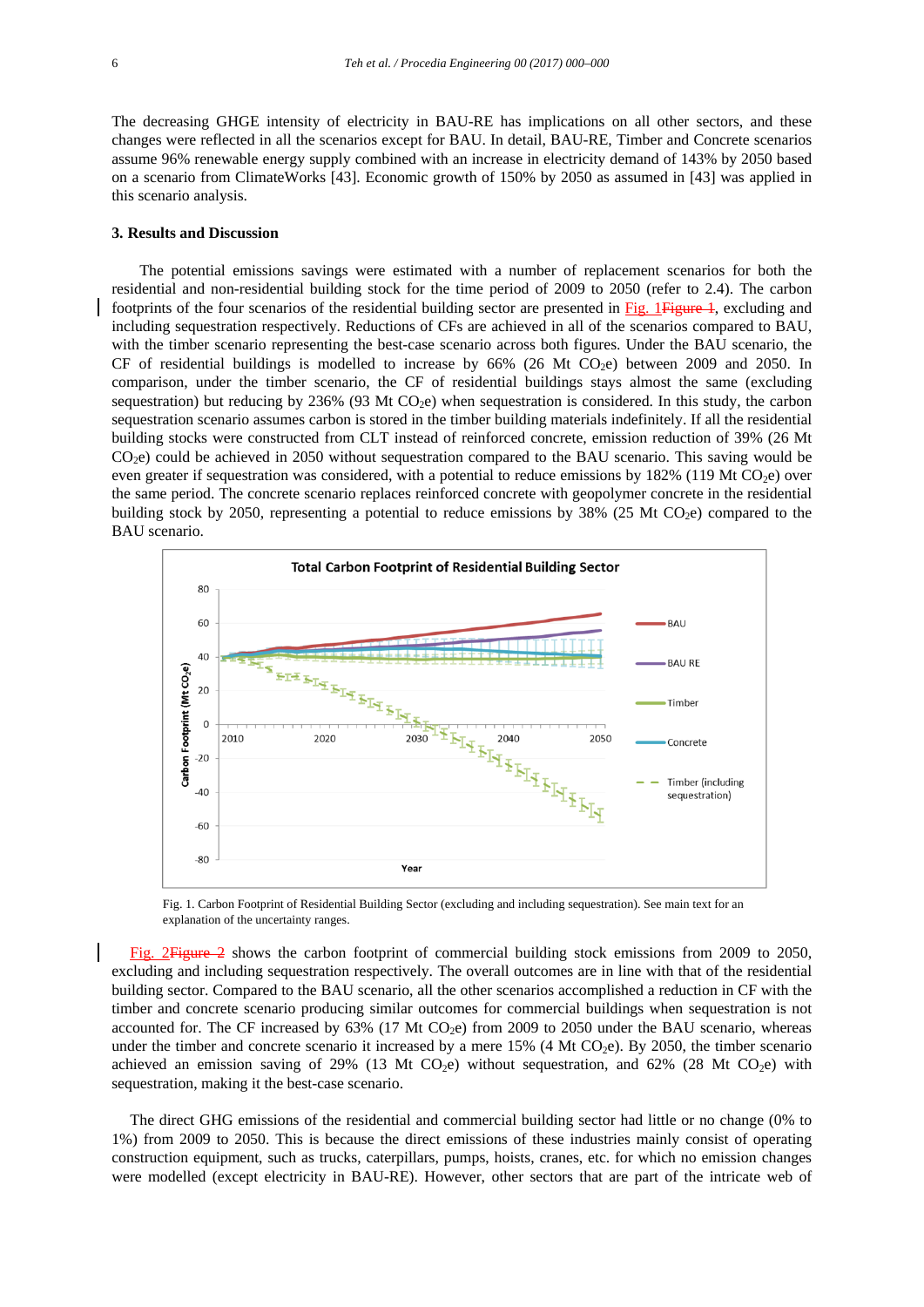The decreasing GHGE intensity of electricity in BAU-RE has implications on all other sectors, and these changes were reflected in all the scenarios except for BAU. In detail, BAU-RE, Timber and Concrete scenarios assume 96% renewable energy supply combined with an increase in electricity demand of 143% by 2050 based on a scenario from ClimateWorks [43]. Economic growth of 150% by 2050 as assumed in [43] was applied in this scenario analysis.

#### **3. Results and Discussion**

The potential emissions savings were estimated with a number of replacement scenarios for both the residential and non-residential building stock for the time period of 2009 to 2050 (refer to 2.4). The carbon footprints of the four scenarios of the residential building sector are presented in Fig. 1Figure 1, excluding and including sequestration respectively. Reductions of CFs are achieved in all of the scenarios compared to BAU, with the timber scenario representing the best-case scenario across both figures. Under the BAU scenario, the CF of residential buildings is modelled to increase by  $66\%$  (26 Mt CO<sub>2</sub>e) between 2009 and 2050. In comparison, under the timber scenario, the CF of residential buildings stays almost the same (excluding sequestration) but reducing by 236% (93 Mt CO<sub>2</sub>e) when sequestration is considered. In this study, the carbon sequestration scenario assumes carbon is stored in the timber building materials indefinitely. If all the residential building stocks were constructed from CLT instead of reinforced concrete, emission reduction of 39% (26 Mt CO<sub>2</sub>e) could be achieved in 2050 without sequestration compared to the BAU scenario. This saving would be even greater if sequestration was considered, with a potential to reduce emissions by  $182\%$  (119 Mt CO<sub>2</sub>e) over the same period. The concrete scenario replaces reinforced concrete with geopolymer concrete in the residential building stock by 2050, representing a potential to reduce emissions by 38% (25 Mt  $CO<sub>2</sub>e$ ) compared to the BAU scenario.



Fig. 1. Carbon Footprint of Residential Building Sector (excluding and including sequestration). See main text for an explanation of the uncertainty ranges.

Fig. 2Figure 2 shows the carbon footprint of commercial building stock emissions from 2009 to 2050, excluding and including sequestration respectively. The overall outcomes are in line with that of the residential building sector. Compared to the BAU scenario, all the other scenarios accomplished a reduction in CF with the timber and concrete scenario producing similar outcomes for commercial buildings when sequestration is not accounted for. The CF increased by  $63\%$  (17 Mt CO<sub>2</sub>e) from 2009 to 2050 under the BAU scenario, whereas under the timber and concrete scenario it increased by a mere  $15%$  (4 Mt CO<sub>2</sub>e). By 2050, the timber scenario achieved an emission saving of 29% (13 Mt CO<sub>2</sub>e) without sequestration, and 62% (28 Mt CO<sub>2</sub>e) with sequestration, making it the best-case scenario.

The direct GHG emissions of the residential and commercial building sector had little or no change (0% to 1%) from 2009 to 2050. This is because the direct emissions of these industries mainly consist of operating construction equipment, such as trucks, caterpillars, pumps, hoists, cranes, etc. for which no emission changes were modelled (except electricity in BAU-RE). However, other sectors that are part of the intricate web of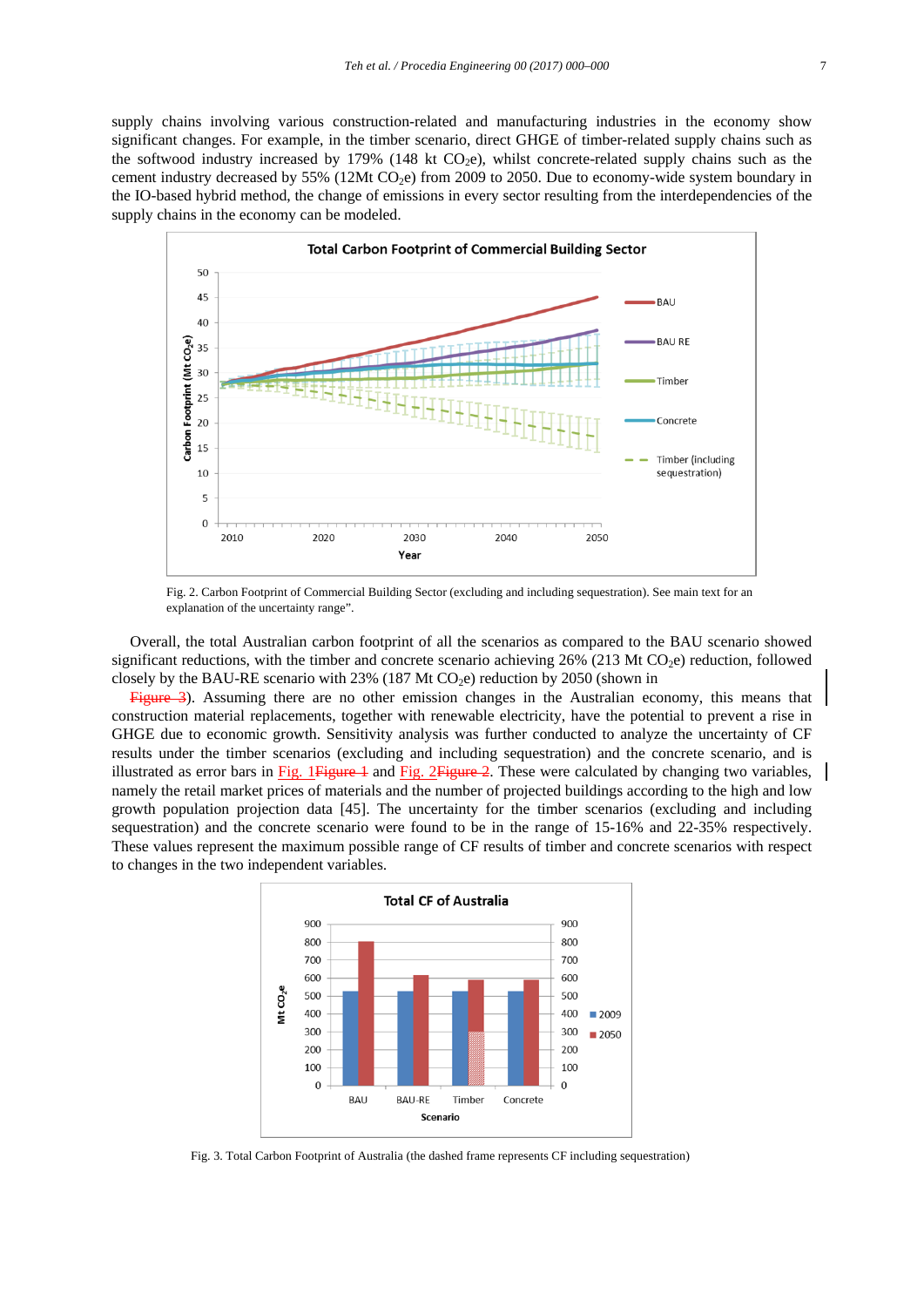supply chains involving various construction-related and manufacturing industries in the economy show significant changes. For example, in the timber scenario, direct GHGE of timber-related supply chains such as the softwood industry increased by 179% (148 kt  $CO<sub>2</sub>e$ ), whilst concrete-related supply chains such as the cement industry decreased by 55% (12Mt  $CO<sub>2</sub>e$ ) from 2009 to 2050. Due to economy-wide system boundary in the IO-based hybrid method, the change of emissions in every sector resulting from the interdependencies of the supply chains in the economy can be modeled.



Fig. 2. Carbon Footprint of Commercial Building Sector (excluding and including sequestration). See main text for an explanation of the uncertainty range".

Overall, the total Australian carbon footprint of all the scenarios as compared to the BAU scenario showed significant reductions, with the timber and concrete scenario achieving  $26\%$  (213 Mt CO<sub>2</sub>e) reduction, followed closely by the BAU-RE scenario with  $23\%$  (187 Mt CO<sub>2</sub>e) reduction by 2050 (shown in

Figure 3). Assuming there are no other emission changes in the Australian economy, this means that construction material replacements, together with renewable electricity, have the potential to prevent a rise in GHGE due to economic growth. Sensitivity analysis was further conducted to analyze the uncertainty of CF results under the timber scenarios (excluding and including sequestration) and the concrete scenario, and is illustrated as error bars in Fig. 1Figure 1 and Fig. 2Figure 2. These were calculated by changing two variables, namely the retail market prices of materials and the number of projected buildings according to the high and low growth population projection data [45]. The uncertainty for the timber scenarios (excluding and including sequestration) and the concrete scenario were found to be in the range of 15-16% and 22-35% respectively. These values represent the maximum possible range of CF results of timber and concrete scenarios with respect to changes in the two independent variables.



Fig. 3. Total Carbon Footprint of Australia (the dashed frame represents CF including sequestration)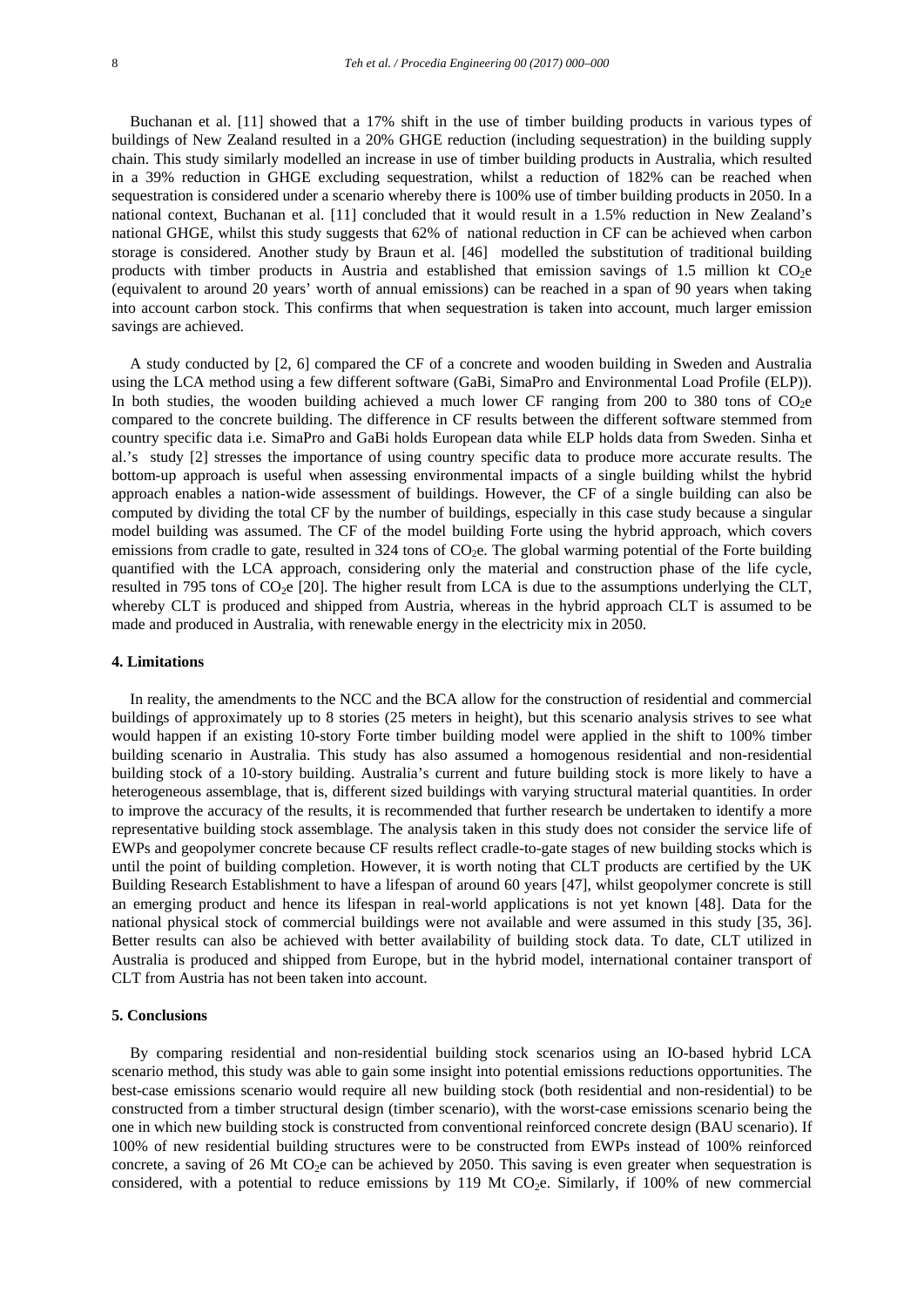Buchanan et al. [11] showed that a 17% shift in the use of timber building products in various types of buildings of New Zealand resulted in a 20% GHGE reduction (including sequestration) in the building supply chain. This study similarly modelled an increase in use of timber building products in Australia, which resulted in a 39% reduction in GHGE excluding sequestration, whilst a reduction of 182% can be reached when sequestration is considered under a scenario whereby there is 100% use of timber building products in 2050. In a national context, Buchanan et al. [11] concluded that it would result in a 1.5% reduction in New Zealand's national GHGE, whilst this study suggests that 62% of national reduction in CF can be achieved when carbon storage is considered. Another study by Braun et al. [46] modelled the substitution of traditional building products with timber products in Austria and established that emission savings of 1.5 million kt  $CO<sub>2</sub>e$ (equivalent to around 20 years' worth of annual emissions) can be reached in a span of 90 years when taking into account carbon stock. This confirms that when sequestration is taken into account, much larger emission savings are achieved.

A study conducted by [2, 6] compared the CF of a concrete and wooden building in Sweden and Australia using the LCA method using a few different software (GaBi, SimaPro and Environmental Load Profile (ELP)). In both studies, the wooden building achieved a much lower CF ranging from 200 to 380 tons of  $CO<sub>2</sub>e$ compared to the concrete building. The difference in CF results between the different software stemmed from country specific data i.e. SimaPro and GaBi holds European data while ELP holds data from Sweden. Sinha et al.'s study [2] stresses the importance of using country specific data to produce more accurate results. The bottom-up approach is useful when assessing environmental impacts of a single building whilst the hybrid approach enables a nation-wide assessment of buildings. However, the CF of a single building can also be computed by dividing the total CF by the number of buildings, especially in this case study because a singular model building was assumed. The CF of the model building Forte using the hybrid approach, which covers emissions from cradle to gate, resulted in 324 tons of  $CO<sub>2</sub>e$ . The global warming potential of the Forte building quantified with the LCA approach, considering only the material and construction phase of the life cycle, resulted in 795 tons of  $CO<sub>2</sub>e$  [20]. The higher result from LCA is due to the assumptions underlying the CLT, whereby CLT is produced and shipped from Austria, whereas in the hybrid approach CLT is assumed to be made and produced in Australia, with renewable energy in the electricity mix in 2050.

#### **4. Limitations**

In reality, the amendments to the NCC and the BCA allow for the construction of residential and commercial buildings of approximately up to 8 stories (25 meters in height), but this scenario analysis strives to see what would happen if an existing 10-story Forte timber building model were applied in the shift to 100% timber building scenario in Australia. This study has also assumed a homogenous residential and non-residential building stock of a 10-story building. Australia's current and future building stock is more likely to have a heterogeneous assemblage, that is, different sized buildings with varying structural material quantities. In order to improve the accuracy of the results, it is recommended that further research be undertaken to identify a more representative building stock assemblage. The analysis taken in this study does not consider the service life of EWPs and geopolymer concrete because CF results reflect cradle-to-gate stages of new building stocks which is until the point of building completion. However, it is worth noting that CLT products are certified by the UK Building Research Establishment to have a lifespan of around 60 years [47], whilst geopolymer concrete is still an emerging product and hence its lifespan in real-world applications is not yet known [48]. Data for the national physical stock of commercial buildings were not available and were assumed in this study [35, 36]. Better results can also be achieved with better availability of building stock data. To date, CLT utilized in Australia is produced and shipped from Europe, but in the hybrid model, international container transport of CLT from Austria has not been taken into account.

#### **5. Conclusions**

By comparing residential and non-residential building stock scenarios using an IO-based hybrid LCA scenario method, this study was able to gain some insight into potential emissions reductions opportunities. The best-case emissions scenario would require all new building stock (both residential and non-residential) to be constructed from a timber structural design (timber scenario), with the worst-case emissions scenario being the one in which new building stock is constructed from conventional reinforced concrete design (BAU scenario). If 100% of new residential building structures were to be constructed from EWPs instead of 100% reinforced concrete, a saving of 26 Mt  $CO<sub>2</sub>e$  can be achieved by 2050. This saving is even greater when sequestration is considered, with a potential to reduce emissions by 119 Mt  $CO<sub>2</sub>e$ . Similarly, if 100% of new commercial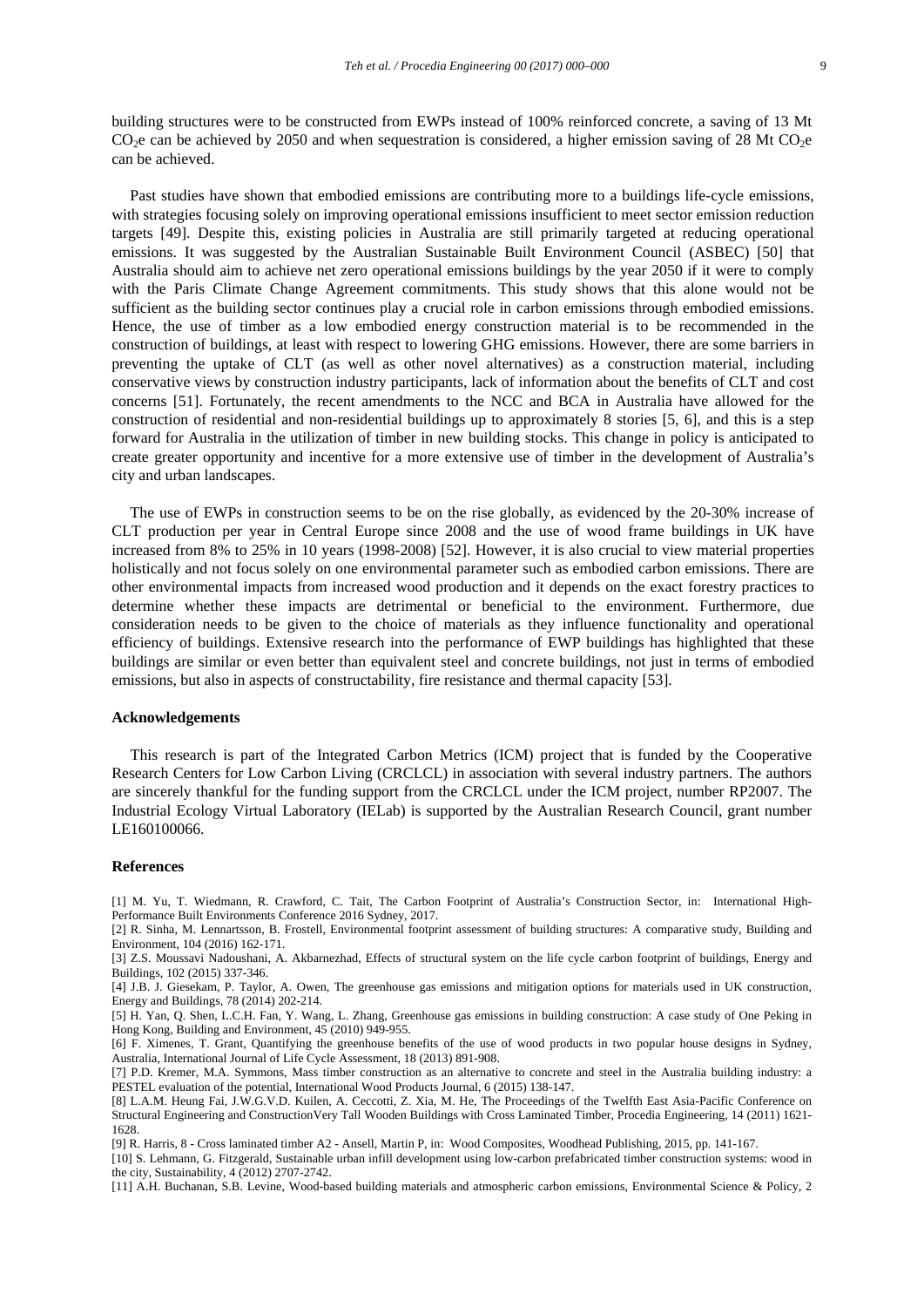building structures were to be constructed from EWPs instead of 100% reinforced concrete, a saving of 13 Mt  $CO<sub>2</sub>e$  can be achieved by 2050 and when sequestration is considered, a higher emission saving of 28 Mt  $CO<sub>2</sub>e$ can be achieved.

Past studies have shown that embodied emissions are contributing more to a buildings life-cycle emissions, with strategies focusing solely on improving operational emissions insufficient to meet sector emission reduction targets [49]. Despite this, existing policies in Australia are still primarily targeted at reducing operational emissions. It was suggested by the Australian Sustainable Built Environment Council (ASBEC) [50] that Australia should aim to achieve net zero operational emissions buildings by the year 2050 if it were to comply with the Paris Climate Change Agreement commitments. This study shows that this alone would not be sufficient as the building sector continues play a crucial role in carbon emissions through embodied emissions. Hence, the use of timber as a low embodied energy construction material is to be recommended in the construction of buildings, at least with respect to lowering GHG emissions. However, there are some barriers in preventing the uptake of CLT (as well as other novel alternatives) as a construction material, including conservative views by construction industry participants, lack of information about the benefits of CLT and cost concerns [51]. Fortunately, the recent amendments to the NCC and BCA in Australia have allowed for the construction of residential and non-residential buildings up to approximately 8 stories [5, 6], and this is a step forward for Australia in the utilization of timber in new building stocks. This change in policy is anticipated to create greater opportunity and incentive for a more extensive use of timber in the development of Australia's city and urban landscapes.

The use of EWPs in construction seems to be on the rise globally, as evidenced by the 20-30% increase of CLT production per year in Central Europe since 2008 and the use of wood frame buildings in UK have increased from 8% to 25% in 10 years (1998-2008) [52]. However, it is also crucial to view material properties holistically and not focus solely on one environmental parameter such as embodied carbon emissions. There are other environmental impacts from increased wood production and it depends on the exact forestry practices to determine whether these impacts are detrimental or beneficial to the environment. Furthermore, due consideration needs to be given to the choice of materials as they influence functionality and operational efficiency of buildings. Extensive research into the performance of EWP buildings has highlighted that these buildings are similar or even better than equivalent steel and concrete buildings, not just in terms of embodied emissions, but also in aspects of constructability, fire resistance and thermal capacity [53].

#### **Acknowledgements**

This research is part of the Integrated Carbon Metrics (ICM) project that is funded by the Cooperative Research Centers for Low Carbon Living (CRCLCL) in association with several industry partners. The authors are sincerely thankful for the funding support from the CRCLCL under the ICM project, number RP2007. The Industrial Ecology Virtual Laboratory (IELab) is supported by the Australian Research Council, grant number LE160100066.

#### **References**

- [1] M. Yu, T. Wiedmann, R. Crawford, C. Tait, The Carbon Footprint of Australia's Construction Sector, in: International High-Performance Built Environments Conference 2016 Sydney, 2017.
- [2] R. Sinha, M. Lennartsson, B. Frostell, Environmental footprint assessment of building structures: A comparative study, Building and Environment, 104 (2016) 162-171.
- [3] Z.S. Moussavi Nadoushani, A. Akbarnezhad, Effects of structural system on the life cycle carbon footprint of buildings, Energy and Buildings, 102 (2015) 337-346.
- [4] J.B. J. Giesekam, P. Taylor, A. Owen, The greenhouse gas emissions and mitigation options for materials used in UK construction, Energy and Buildings, 78 (2014) 202-214.
- [5] H. Yan, Q. Shen, L.C.H. Fan, Y. Wang, L. Zhang, Greenhouse gas emissions in building construction: A case study of One Peking in Hong Kong, Building and Environment, 45 (2010) 949-955.
- [6] F. Ximenes, T. Grant, Quantifying the greenhouse benefits of the use of wood products in two popular house designs in Sydney, Australia, International Journal of Life Cycle Assessment, 18 (2013) 891-908.
- [7] P.D. Kremer, M.A. Symmons, Mass timber construction as an alternative to concrete and steel in the Australia building industry: a PESTEL evaluation of the potential, International Wood Products Journal, 6 (2015) 138-147.
- [8] L.A.M. Heung Fai, J.W.G.V.D. Kuilen, A. Ceccotti, Z. Xia, M. He, The Proceedings of the Twelfth East Asia-Pacific Conference on Structural Engineering and ConstructionVery Tall Wooden Buildings with Cross Laminated Timber, Procedia Engineering, 14 (2011) 1621- 1628.
- [9] R. Harris, 8 Cross laminated timber A2 Ansell, Martin P, in: Wood Composites, Woodhead Publishing, 2015, pp. 141-167.
- [10] S. Lehmann, G. Fitzgerald, Sustainable urban infill development using low-carbon prefabricated timber construction systems: wood in the city, Sustainability, 4 (2012) 2707-2742.
- [11] A.H. Buchanan, S.B. Levine, Wood-based building materials and atmospheric carbon emissions, Environmental Science & Policy, 2